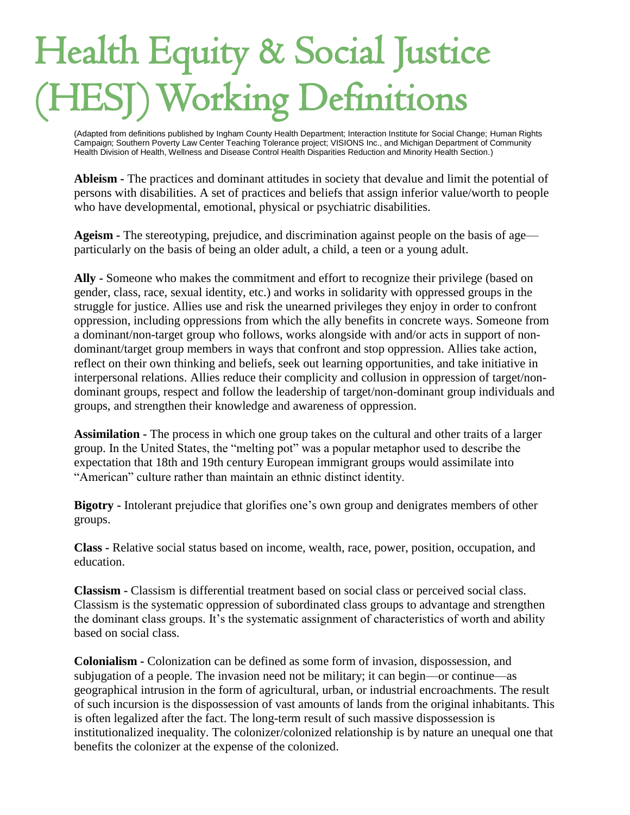## Health Equity & Social Justice Working Definitions

(Adapted from definitions published by Ingham County Health Department; Interaction Institute for Social Change; Human Rights Campaign; Southern Poverty Law Center Teaching Tolerance project; VISIONS Inc., and Michigan Department of Community Health Division of Health, Wellness and Disease Control Health Disparities Reduction and Minority Health Section.) (Adapted from definitions published by Ingham County H<br>Campaign; Southern Poverty Law Center Teaching Toler<br>Health Division of Health, Wellness and Disease Control

**Ableism -** The practices and dominant attitudes in society that devalue and limit the potential of persons with disabilities. A set of practices and beliefs that assign inferior value/worth to people who have developmental, emotional, physical or psychiatric disabilities.

**Ageism -** The stereotyping, prejudice, and discrimination against people on the basis of age particularly on the basis of being an older adult, a child, a teen or a young adult.

**Ally -** Someone who makes the commitment and effort to recognize their privilege (based on gender, class, race, sexual identity, etc.) and works in solidarity with oppressed groups in the struggle for justice. Allies use and risk the unearned privileges they enjoy in order to confront oppression, including oppressions from which the ally benefits in concrete ways. Someone from a dominant/non-target group who follows, works alongside with and/or acts in support of nondominant/target group members in ways that confront and stop oppression. Allies take action, reflect on their own thinking and beliefs, seek out learning opportunities, and take initiative in interpersonal relations. Allies reduce their complicity and collusion in oppression of target/nondominant groups, respect and follow the leadership of target/non-dominant group individuals and groups, and strengthen their knowledge and awareness of oppression.

**Assimilation -** The process in which one group takes on the cultural and other traits of a larger group. In the United States, the "melting pot" was a popular metaphor used to describe the expectation that 18th and 19th century European immigrant groups would assimilate into "American" culture rather than maintain an ethnic distinct identity.

**Bigotry -** Intolerant prejudice that glorifies one's own group and denigrates members of other groups.

**Class -** Relative social status based on income, wealth, race, power, position, occupation, and education.

**Classism -** Classism is differential treatment based on social class or perceived social class. Classism is the systematic oppression of subordinated class groups to advantage and strengthen the dominant class groups. It's the systematic assignment of characteristics of worth and ability based on social class.

**Colonialism -** Colonization can be defined as some form of invasion, dispossession, and subjugation of a people. The invasion need not be military; it can begin—or continue—as geographical intrusion in the form of agricultural, urban, or industrial encroachments. The result of such incursion is the dispossession of vast amounts of lands from the original inhabitants. This is often legalized after the fact. The long-term result of such massive dispossession is institutionalized inequality. The colonizer/colonized relationship is by nature an unequal one that benefits the colonizer at the expense of the colonized.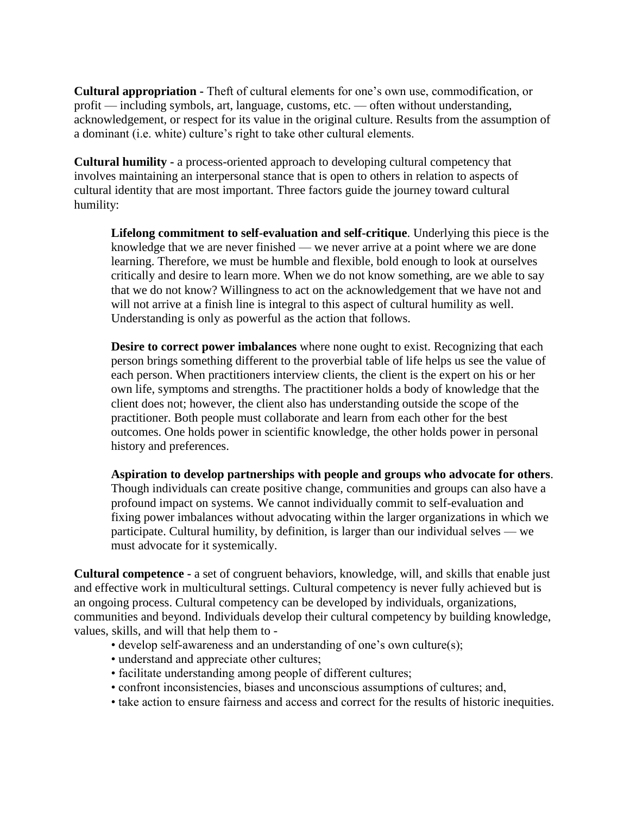**Cultural appropriation -** Theft of cultural elements for one's own use, commodification, or profit — including symbols, art, language, customs, etc. — often without understanding, acknowledgement, or respect for its value in the original culture. Results from the assumption of a dominant (i.e. white) culture's right to take other cultural elements.

**Cultural humility -** a process-oriented approach to developing cultural competency that involves maintaining an interpersonal stance that is open to others in relation to aspects of cultural identity that are most important. Three factors guide the journey toward cultural humility:

**Lifelong commitment to self-evaluation and self-critique**. Underlying this piece is the knowledge that we are never finished — we never arrive at a point where we are done learning. Therefore, we must be humble and flexible, bold enough to look at ourselves critically and desire to learn more. When we do not know something, are we able to say that we do not know? Willingness to act on the acknowledgement that we have not and will not arrive at a finish line is integral to this aspect of cultural humility as well. Understanding is only as powerful as the action that follows.

**Desire to correct power imbalances** where none ought to exist. Recognizing that each person brings something different to the proverbial table of life helps us see the value of each person. When practitioners interview clients, the client is the expert on his or her own life, symptoms and strengths. The practitioner holds a body of knowledge that the client does not; however, the client also has understanding outside the scope of the practitioner. Both people must collaborate and learn from each other for the best outcomes. One holds power in scientific knowledge, the other holds power in personal history and preferences.

**Aspiration to develop partnerships with people and groups who advocate for others**. Though individuals can create positive change, communities and groups can also have a profound impact on systems. We cannot individually commit to self-evaluation and fixing power imbalances without advocating within the larger organizations in which we participate. Cultural humility, by definition, is larger than our individual selves — we must advocate for it systemically.

**Cultural competence -** a set of congruent behaviors, knowledge, will, and skills that enable just and effective work in multicultural settings. Cultural competency is never fully achieved but is an ongoing process. Cultural competency can be developed by individuals, organizations, communities and beyond. Individuals develop their cultural competency by building knowledge, values, skills, and will that help them to -

- develop self-awareness and an understanding of one's own culture(s);
- understand and appreciate other cultures;
- facilitate understanding among people of different cultures;
- confront inconsistencies, biases and unconscious assumptions of cultures; and,
- take action to ensure fairness and access and correct for the results of historic inequities.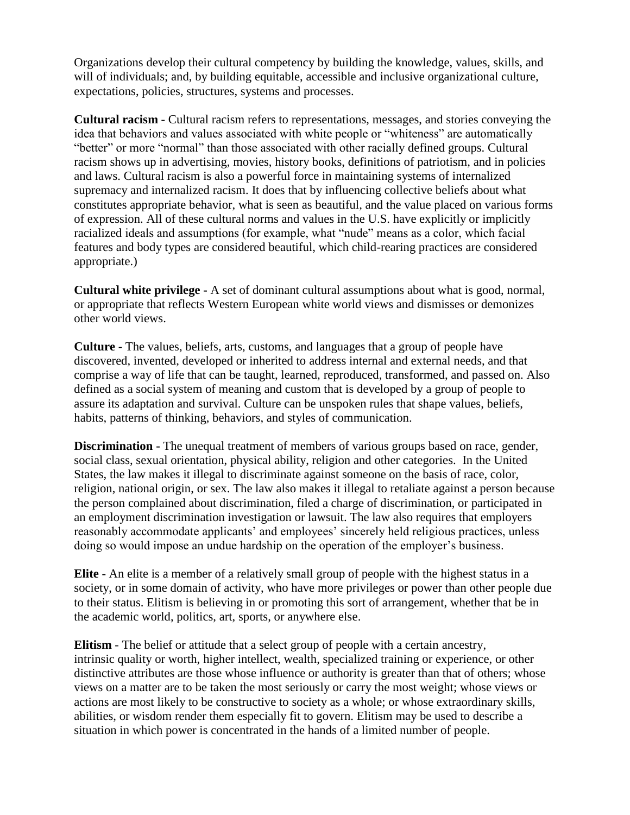Organizations develop their cultural competency by building the knowledge, values, skills, and will of individuals; and, by building equitable, accessible and inclusive organizational culture, expectations, policies, structures, systems and processes.

**Cultural racism -** Cultural racism refers to representations, messages, and stories conveying the idea that behaviors and values associated with white people or "whiteness" are automatically "better" or more "normal" than those associated with other racially defined groups. Cultural racism shows up in advertising, movies, history books, definitions of patriotism, and in policies and laws. Cultural racism is also a powerful force in maintaining systems of internalized supremacy and internalized racism. It does that by influencing collective beliefs about what constitutes appropriate behavior, what is seen as beautiful, and the value placed on various forms of expression. All of these cultural norms and values in the U.S. have explicitly or implicitly racialized ideals and assumptions (for example, what "nude" means as a color, which facial features and body types are considered beautiful, which child-rearing practices are considered appropriate.)

**Cultural white privilege -** A set of dominant cultural assumptions about what is good, normal, or appropriate that reflects Western European white world views and dismisses or demonizes other world views.

**Culture -** The values, beliefs, arts, customs, and languages that a group of people have discovered, invented, developed or inherited to address internal and external needs, and that comprise a way of life that can be taught, learned, reproduced, transformed, and passed on. Also defined as a social system of meaning and custom that is developed by a group of people to assure its adaptation and survival. Culture can be unspoken rules that shape values, beliefs, habits, patterns of thinking, behaviors, and styles of communication.

**Discrimination -** The unequal treatment of members of various groups based on race, gender, social class, sexual orientation, physical ability, religion and other categories. In the United States, the law makes it illegal to discriminate against someone on the basis of race, color, religion, national origin, or sex. The law also makes it illegal to retaliate against a person because the person complained about discrimination, filed a charge of discrimination, or participated in an employment discrimination investigation or lawsuit. The law also requires that employers reasonably accommodate applicants' and employees' sincerely held religious practices, unless doing so would impose an undue hardship on the operation of the employer's business.

**Elite -** An elite is a member of a relatively small group of people with the highest status in a society, or in some domain of activity, who have more privileges or power than other people due to their status. Elitism is believing in or promoting this sort of arrangement, whether that be in the academic world, politics, art, sports, or anywhere else.

**[Elitism](https://en.wikipedia.org/wiki/Elitism)** - The [belief](https://en.wikiquote.org/wiki/Belief) or [attitude](https://en.wikiquote.org/wiki/Attitude) that a select group of people with a certain [ancestry,](https://en.wikipedia.org/wiki/Ancestry) intrinsic [quality](https://en.wikiquote.org/wiki/Quality) or worth, higher [intellect,](https://en.wikiquote.org/wiki/Intellect) [wealth,](https://en.wikiquote.org/wiki/Wealth) specialized training or [experience,](https://en.wikiquote.org/wiki/Experience) or other distinctive [attributes](https://en.wikiquote.org/wiki/Attributes) are those whose influence or [authority](https://en.wikiquote.org/wiki/Authority) is greater than that of others; whose views on a matter are to be taken the most seriously or carry the most weight; whose views or actions are most likely to be constructive to [society](https://en.wikiquote.org/wiki/Society) as a whole; or whose extraordinary skills, abilities, or [wisdom](https://en.wikiquote.org/wiki/Wisdom) render them especially fit to govern. Elitism may be used to describe a situation in which power is concentrated in the hands of a limited number of people.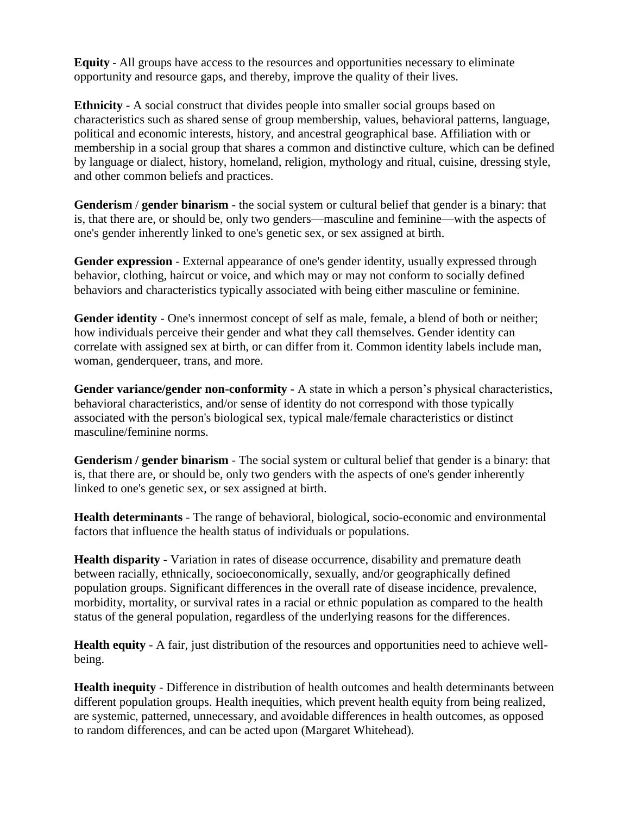**Equity -** All groups have access to the resources and opportunities necessary to eliminate opportunity and resource gaps, and thereby, improve the quality of their lives.

**Ethnicity -** A social construct that divides people into smaller social groups based on characteristics such as shared sense of group membership, values, behavioral patterns, language, political and economic interests, history, and ancestral geographical base. Affiliation with or membership in a social group that shares a common and distinctive culture, which can be defined by language or dialect, history, homeland, religion, mythology and ritual, cuisine, dressing style, and other common beliefs and practices.

**Genderism** / **gender binarism** - the social system or cultural belief that gender is a binary: that is, that there are, or should be, only two genders—masculine and feminine—with the aspects of one's gender inherently linked to one's genetic sex, or sex assigned at birth.

**Gender expression** - External appearance of one's gender identity, usually expressed through behavior, clothing, haircut or voice, and which may or may not conform to socially defined behaviors and characteristics typically associated with being either masculine or feminine.

**Gender identity** - One's innermost concept of self as male, female, a blend of both or neither; how individuals perceive their gender and what they call themselves. Gender identity can correlate with assigned sex at birth, or can differ from it. Common identity labels include man, woman, genderqueer, trans, and more.

**Gender variance/gender non-conformity -** A state in which a person's physical characteristics, behavioral characteristics, and/or sense of identity do not correspond with those typically associated with the person's biological sex, typical male/female characteristics or distinct masculine/feminine norms.

**Genderism / gender binarism** - The social system or cultural belief that gender is a binary: that is, that there are, or should be, only two genders with the aspects of one's gender inherently linked to one's genetic sex, or sex assigned at birth.

**Health determinants** - The range of behavioral, biological, socio-economic and environmental factors that influence the health status of individuals or populations.

**Health disparity** - Variation in rates of disease occurrence, disability and premature death between racially, ethnically, socioeconomically, sexually, and/or geographically defined population groups. Significant differences in the overall rate of disease incidence, prevalence, morbidity, mortality, or survival rates in a racial or ethnic population as compared to the health status of the general population, regardless of the underlying reasons for the differences.

**Health equity** - A fair, just distribution of the resources and opportunities need to achieve wellbeing.

**Health inequity** - Difference in distribution of health outcomes and health determinants between different population groups. Health inequities, which prevent health equity from being realized, are systemic, patterned, unnecessary, and avoidable differences in health outcomes, as opposed to random differences, and can be acted upon (Margaret Whitehead).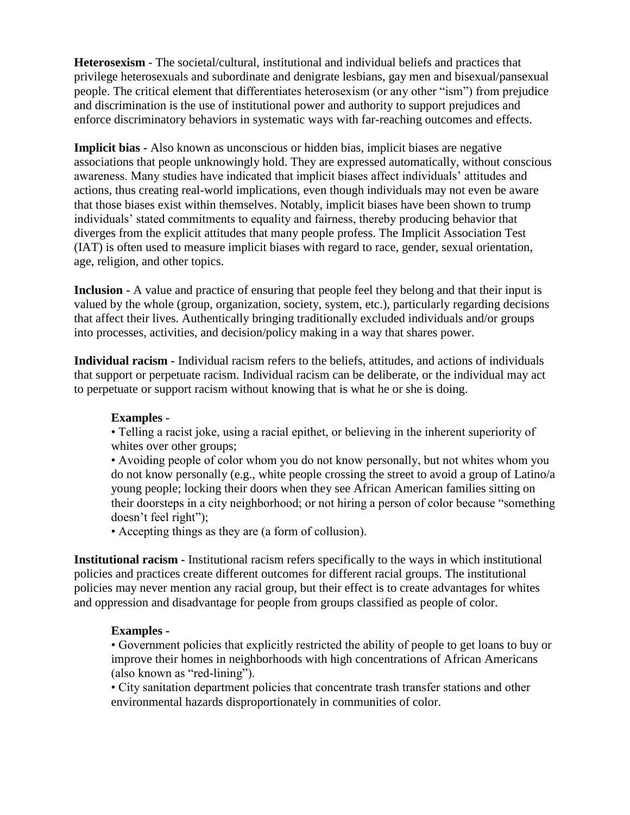**Heterosexism** - The societal/cultural, institutional and individual beliefs and practices that privilege heterosexuals and subordinate and denigrate lesbians, gay men and bisexual/pansexual people. The critical element that differentiates heterosexism (or any other "ism") from prejudice and discrimination is the use of institutional power and authority to support prejudices and enforce discriminatory behaviors in systematic ways with far-reaching outcomes and effects.

**Implicit bias -** Also known as unconscious or hidden bias, implicit biases are negative associations that people unknowingly hold. They are expressed automatically, without conscious awareness. Many studies have indicated that implicit biases affect individuals' attitudes and actions, thus creating real-world implications, even though individuals may not even be aware that those biases exist within themselves. Notably, implicit biases have been shown to trump individuals' stated commitments to equality and fairness, thereby producing behavior that diverges from the explicit attitudes that many people profess. The Implicit Association Test (IAT) is often used to measure implicit biases with regard to race, gender, sexual orientation, age, religion, and other topics.

**Inclusion -** A value and practice of ensuring that people feel they belong and that their input is valued by the whole (group, organization, society, system, etc.), particularly regarding decisions that affect their lives. Authentically bringing traditionally excluded individuals and/or groups into processes, activities, and decision/policy making in a way that shares power.

**Individual racism -** Individual racism refers to the beliefs, attitudes, and actions of individuals that support or perpetuate racism. Individual racism can be deliberate, or the individual may act to perpetuate or support racism without knowing that is what he or she is doing.

## **Examples -**

• Telling a racist joke, using a racial epithet, or believing in the inherent superiority of whites over other groups;

• Avoiding people of color whom you do not know personally, but not whites whom you do not know personally (e.g., white people crossing the street to avoid a group of Latino/a young people; locking their doors when they see African American families sitting on their doorsteps in a city neighborhood; or not hiring a person of color because "something doesn't feel right");

• Accepting things as they are (a form of collusion).

**Institutional racism -** Institutional racism refers specifically to the ways in which institutional policies and practices create different outcomes for different racial groups. The institutional policies may never mention any racial group, but their effect is to create advantages for whites and oppression and disadvantage for people from groups classified as people of color.

## **Examples -**

• Government policies that explicitly restricted the ability of people to get loans to buy or improve their homes in neighborhoods with high concentrations of African Americans (also known as "red-lining").

• City sanitation department policies that concentrate trash transfer stations and other environmental hazards disproportionately in communities of color.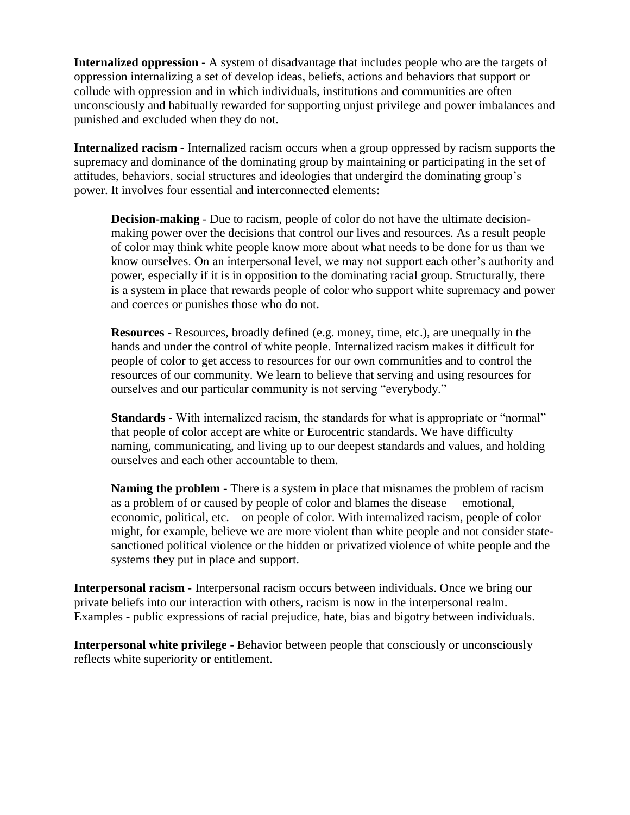**Internalized oppression -** A system of disadvantage that includes people who are the targets of oppression internalizing a set of develop ideas, beliefs, actions and behaviors that support or collude with oppression and in which individuals, institutions and communities are often unconsciously and habitually rewarded for supporting unjust privilege and power imbalances and punished and excluded when they do not.

**Internalized racism -** Internalized racism occurs when a group oppressed by racism supports the supremacy and dominance of the dominating group by maintaining or participating in the set of attitudes, behaviors, social structures and ideologies that undergird the dominating group's power. It involves four essential and interconnected elements:

**Decision-making** - Due to racism, people of color do not have the ultimate decisionmaking power over the decisions that control our lives and resources. As a result people of color may think white people know more about what needs to be done for us than we know ourselves. On an interpersonal level, we may not support each other's authority and power, especially if it is in opposition to the dominating racial group. Structurally, there is a system in place that rewards people of color who support white supremacy and power and coerces or punishes those who do not.

**Resources** - Resources, broadly defined (e.g. money, time, etc.), are unequally in the hands and under the control of white people. Internalized racism makes it difficult for people of color to get access to resources for our own communities and to control the resources of our community. We learn to believe that serving and using resources for ourselves and our particular community is not serving "everybody."

**Standards** - With internalized racism, the standards for what is appropriate or "normal" that people of color accept are white or Eurocentric standards. We have difficulty naming, communicating, and living up to our deepest standards and values, and holding ourselves and each other accountable to them.

**Naming the problem** - There is a system in place that misnames the problem of racism as a problem of or caused by people of color and blames the disease— emotional, economic, political, etc.—on people of color. With internalized racism, people of color might, for example, believe we are more violent than white people and not consider statesanctioned political violence or the hidden or privatized violence of white people and the systems they put in place and support.

**Interpersonal racism -** Interpersonal racism occurs between individuals. Once we bring our private beliefs into our interaction with others, racism is now in the interpersonal realm. Examples - public expressions of racial prejudice, hate, bias and bigotry between individuals.

**Interpersonal white privilege -** Behavior between people that consciously or unconsciously reflects white superiority or entitlement.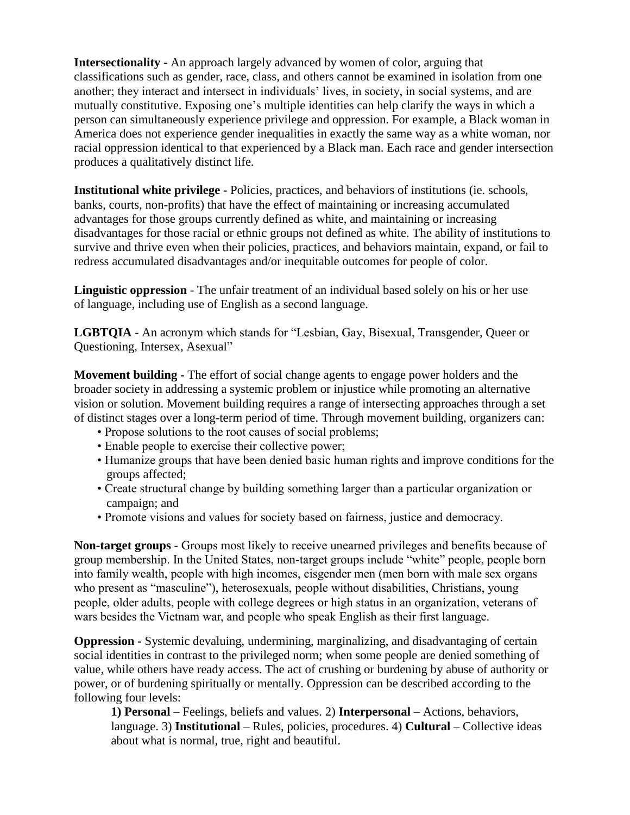**Intersectionality -** An approach largely advanced by women of color, arguing that classifications such as gender, race, class, and others cannot be examined in isolation from one another; they interact and intersect in individuals' lives, in society, in social systems, and are mutually constitutive. Exposing one's multiple identities can help clarify the ways in which a person can simultaneously experience privilege and oppression. For example, a Black woman in America does not experience gender inequalities in exactly the same way as a white woman, nor racial oppression identical to that experienced by a Black man. Each race and gender intersection produces a qualitatively distinct life.

**Institutional white privilege -** Policies, practices, and behaviors of institutions (ie. schools, banks, courts, non-profits) that have the effect of maintaining or increasing accumulated advantages for those groups currently defined as white, and maintaining or increasing disadvantages for those racial or ethnic groups not defined as white. The ability of institutions to survive and thrive even when their policies, practices, and behaviors maintain, expand, or fail to redress accumulated disadvantages and/or inequitable outcomes for people of color.

**Linguistic oppression** - The unfair treatment of an individual based solely on his or her use of language, including use of English as a second language.

**LGBTQIA** - An acronym which stands for "Lesbian, Gay, Bisexual, Transgender, Queer or Questioning, Intersex, Asexual"

**Movement building -** The effort of social change agents to engage power holders and the broader society in addressing a systemic problem or injustice while promoting an alternative vision or solution. Movement building requires a range of intersecting approaches through a set of distinct stages over a long-term period of time. Through movement building, organizers can:

- Propose solutions to the root causes of social problems;
- Enable people to exercise their collective power;
- Humanize groups that have been denied basic human rights and improve conditions for the groups affected;
- Create structural change by building something larger than a particular organization or campaign; and
- Promote visions and values for society based on fairness, justice and democracy.

**Non-target groups** - Groups most likely to receive unearned privileges and benefits because of group membership. In the United States, non-target groups include "white" people, people born into family wealth, people with high incomes, cisgender men (men born with male sex organs who present as "masculine"), heterosexuals, people without disabilities, Christians, young people, older adults, people with college degrees or high status in an organization, veterans of wars besides the Vietnam war, and people who speak English as their first language.

**Oppression -** Systemic devaluing, undermining, marginalizing, and disadvantaging of certain social identities in contrast to the privileged norm; when some people are denied something of value, while others have ready access. The act of crushing or burdening by abuse of authority or power, or of burdening spiritually or mentally. Oppression can be described according to the following four levels:

**1) Personal** – Feelings, beliefs and values. 2) **Interpersonal** – Actions, behaviors, language. 3) **Institutional** – Rules, policies, procedures. 4) **Cultural** – Collective ideas about what is normal, true, right and beautiful.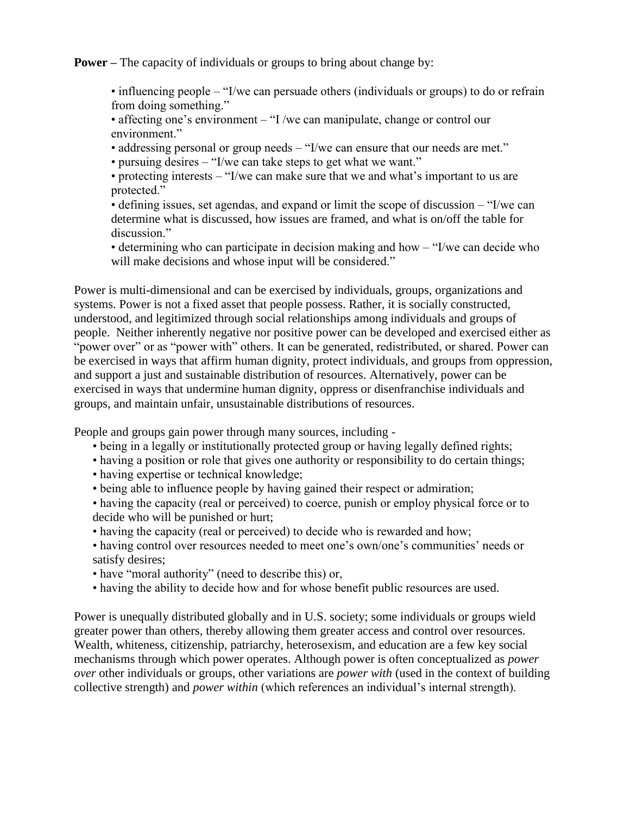**Power** – The capacity of individuals or groups to bring about change by:

• influencing people – "I/we can persuade others (individuals or groups) to do or refrain from doing something."

• affecting one's environment – "I /we can manipulate, change or control our environment<sup>"</sup>

- addressing personal or group needs "I/we can ensure that our needs are met."
- pursuing desires "I/we can take steps to get what we want."

• protecting interests – "I/we can make sure that we and what's important to us are protected."

• defining issues, set agendas, and expand or limit the scope of discussion – "I/we can determine what is discussed, how issues are framed, and what is on/off the table for discussion."

• determining who can participate in decision making and how – "I/we can decide who will make decisions and whose input will be considered."

Power is multi-dimensional and can be exercised by individuals, groups, organizations and systems. Power is not a fixed asset that people possess. Rather, it is socially constructed, understood, and legitimized through social relationships among individuals and groups of people. Neither inherently negative nor positive power can be developed and exercised either as "power over" or as "power with" others. It can be generated, redistributed, or shared. Power can be exercised in ways that affirm human dignity, protect individuals, and groups from oppression, and support a just and sustainable distribution of resources. Alternatively, power can be exercised in ways that undermine human dignity, oppress or disenfranchise individuals and groups, and maintain unfair, unsustainable distributions of resources.

People and groups gain power through many sources, including -

- being in a legally or institutionally protected group or having legally defined rights;
- having a position or role that gives one authority or responsibility to do certain things;
- having expertise or technical knowledge;
- being able to influence people by having gained their respect or admiration;

• having the capacity (real or perceived) to coerce, punish or employ physical force or to decide who will be punished or hurt;

- having the capacity (real or perceived) to decide who is rewarded and how;
- having control over resources needed to meet one's own/one's communities' needs or satisfy desires;
- have "moral authority" (need to describe this) or,
- having the ability to decide how and for whose benefit public resources are used.

Power is unequally distributed globally and in U.S. society; some individuals or groups wield greater power than others, thereby allowing them greater access and control over resources. Wealth, whiteness, citizenship, patriarchy, heterosexism, and education are a few key social mechanisms through which power operates. Although power is often conceptualized as *power over* other individuals or groups, other variations are *power with* (used in the context of building collective strength) and *power within* (which references an individual's internal strength).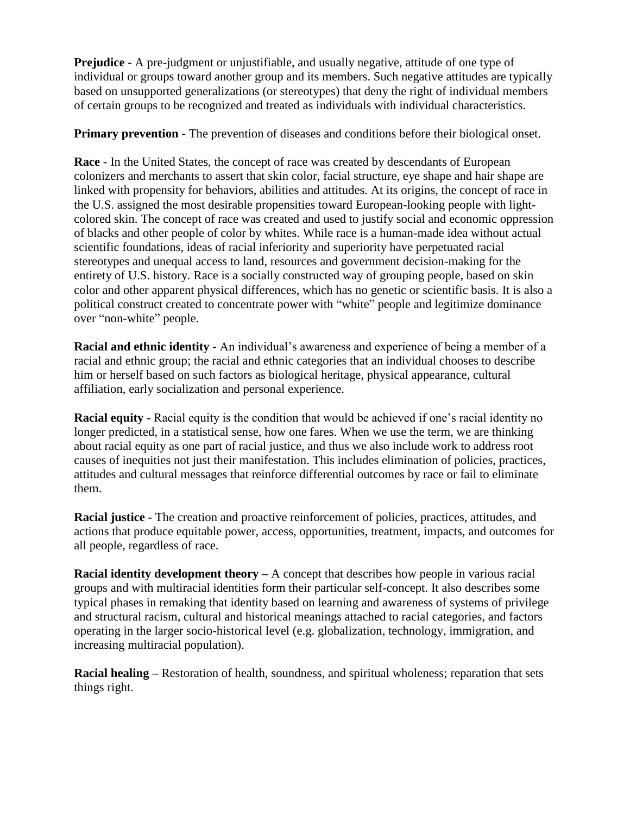**Prejudice -** A pre-judgment or unjustifiable, and usually negative, attitude of one type of individual or groups toward another group and its members. Such negative attitudes are typically based on unsupported generalizations (or stereotypes) that deny the right of individual members of certain groups to be recognized and treated as individuals with individual characteristics.

**Primary prevention -** The prevention of diseases and conditions before their biological onset.

**Race** - In the United States, the concept of race was created by descendants of European colonizers and merchants to assert that skin color, facial structure, eye shape and hair shape are linked with propensity for behaviors, abilities and attitudes. At its origins, the concept of race in the U.S. assigned the most desirable propensities toward European-looking people with lightcolored skin. The concept of race was created and used to justify social and economic oppression of blacks and other people of color by whites. While race is a human-made idea without actual scientific foundations, ideas of racial inferiority and superiority have perpetuated racial stereotypes and unequal access to land, resources and government decision-making for the entirety of U.S. history. Race is a socially constructed way of grouping people, based on skin color and other apparent physical differences, which has no genetic or scientific basis. It is also a political construct created to concentrate power with "white" people and legitimize dominance over "non-white" people.

**Racial and ethnic identity -** An individual's awareness and experience of being a member of a racial and ethnic group; the racial and ethnic categories that an individual chooses to describe him or herself based on such factors as biological heritage, physical appearance, cultural affiliation, early socialization and personal experience.

**Racial equity -** Racial equity is the condition that would be achieved if one's racial identity no longer predicted, in a statistical sense, how one fares. When we use the term, we are thinking about racial equity as one part of racial justice, and thus we also include work to address root causes of inequities not just their manifestation. This includes elimination of policies, practices, attitudes and cultural messages that reinforce differential outcomes by race or fail to eliminate them.

**Racial justice -** The creation and proactive reinforcement of policies, practices, attitudes, and actions that produce equitable power, access, opportunities, treatment, impacts, and outcomes for all people, regardless of race.

**Racial identity development theory –** A concept that describes how people in various racial groups and with multiracial identities form their particular self-concept. It also describes some typical phases in remaking that identity based on learning and awareness of systems of privilege and structural racism, cultural and historical meanings attached to racial categories, and factors operating in the larger socio-historical level (e.g. globalization, technology, immigration, and increasing multiracial population).

**Racial healing –** Restoration of health, soundness, and spiritual wholeness; reparation that sets things right.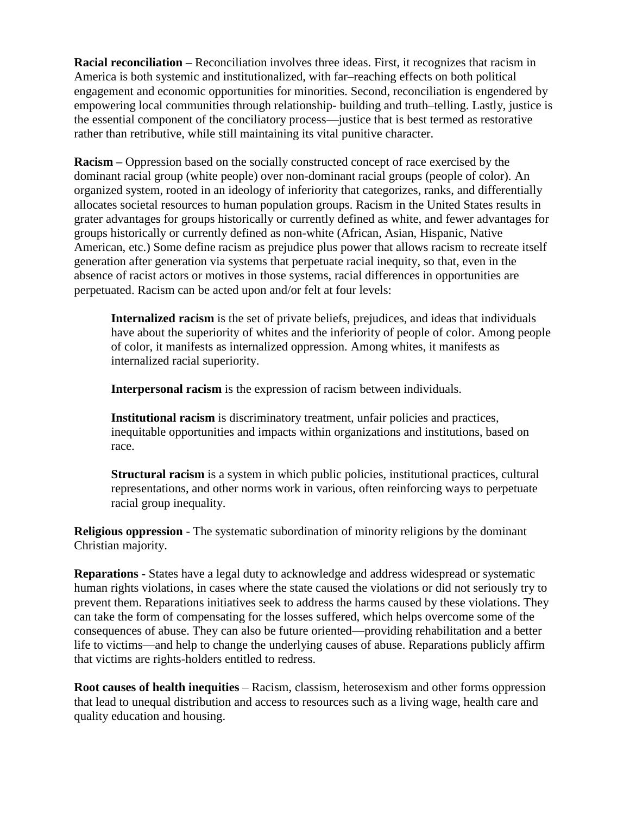**Racial reconciliation –** Reconciliation involves three ideas. First, it recognizes that racism in America is both systemic and institutionalized, with far–reaching effects on both political engagement and economic opportunities for minorities. Second, reconciliation is engendered by empowering local communities through relationship- building and truth–telling. Lastly, justice is the essential component of the conciliatory process—justice that is best termed as restorative rather than retributive, while still maintaining its vital punitive character.

**Racism –** Oppression based on the socially constructed concept of race exercised by the dominant racial group (white people) over non-dominant racial groups (people of color). An organized system, rooted in an ideology of inferiority that categorizes, ranks, and differentially allocates societal resources to human population groups. Racism in the United States results in grater advantages for groups historically or currently defined as white, and fewer advantages for groups historically or currently defined as non-white (African, Asian, Hispanic, Native American, etc.) Some define racism as prejudice plus power that allows racism to recreate itself generation after generation via systems that perpetuate racial inequity, so that, even in the absence of racist actors or motives in those systems, racial differences in opportunities are perpetuated. Racism can be acted upon and/or felt at four levels:

**Internalized racism** is the set of private beliefs, prejudices, and ideas that individuals have about the superiority of whites and the inferiority of people of color. Among people of color, it manifests as internalized oppression. Among whites, it manifests as internalized racial superiority.

**Interpersonal racism** is the expression of racism between individuals.

**Institutional racism** is discriminatory treatment, unfair policies and practices, inequitable opportunities and impacts within organizations and institutions, based on race.

**Structural racism** is a system in which public policies, institutional practices, cultural representations, and other norms work in various, often reinforcing ways to perpetuate racial group inequality.

**Religious oppression** - The systematic subordination of minority religions by the dominant Christian majority.

**Reparations -** States have a legal duty to acknowledge and address widespread or systematic human rights violations, in cases where the state caused the violations or did not seriously try to prevent them. Reparations initiatives seek to address the harms caused by these violations. They can take the form of compensating for the losses suffered, which helps overcome some of the consequences of abuse. They can also be future oriented—providing rehabilitation and a better life to victims—and help to change the underlying causes of abuse. Reparations publicly affirm that victims are rights-holders entitled to redress.

**Root causes of health inequities** – Racism, classism, heterosexism and other forms oppression that lead to unequal distribution and access to resources such as a living wage, health care and quality education and housing.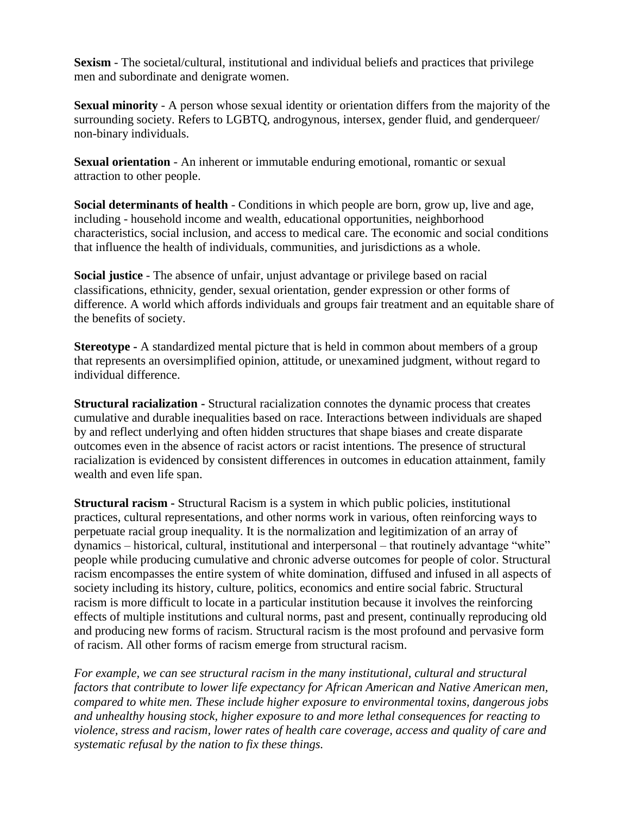**Sexism** - The societal/cultural, institutional and individual beliefs and practices that privilege men and subordinate and denigrate women.

**Sexual minority** - A person whose sexual identity or orientation differs from the majority of the surrounding society. Refers to LGBTQ, androgynous, intersex, gender fluid, and genderqueer/ non-binary individuals.

**Sexual orientation** - An inherent or immutable enduring emotional, romantic or sexual attraction to other people.

**Social determinants of health** - Conditions in which people are born, grow up, live and age, including - household income and wealth, educational opportunities, neighborhood characteristics, social inclusion, and access to medical care. The economic and social conditions that influence the health of individuals, communities, and jurisdictions as a whole.

**Social justice** - The absence of unfair, unjust advantage or privilege based on racial classifications, ethnicity, gender, sexual orientation, gender expression or other forms of difference. A world which affords individuals and groups fair treatment and an equitable share of the benefits of society.

**Stereotype -** A standardized mental picture that is held in common about members of a group that represents an oversimplified opinion, attitude, or unexamined judgment, without regard to individual difference.

**Structural racialization -** Structural racialization connotes the dynamic process that creates cumulative and durable inequalities based on race. Interactions between individuals are shaped by and reflect underlying and often hidden structures that shape biases and create disparate outcomes even in the absence of racist actors or racist intentions. The presence of structural racialization is evidenced by consistent differences in outcomes in education attainment, family wealth and even life span.

**Structural racism -** Structural Racism is a system in which public policies, institutional practices, cultural representations, and other norms work in various, often reinforcing ways to perpetuate racial group inequality. It is the normalization and legitimization of an array of dynamics – historical, cultural, institutional and interpersonal – that routinely advantage "white" people while producing cumulative and chronic adverse outcomes for people of color. Structural racism encompasses the entire system of white domination, diffused and infused in all aspects of society including its history, culture, politics, economics and entire social fabric. Structural racism is more difficult to locate in a particular institution because it involves the reinforcing effects of multiple institutions and cultural norms, past and present, continually reproducing old and producing new forms of racism. Structural racism is the most profound and pervasive form of racism. All other forms of racism emerge from structural racism.

*For example, we can see structural racism in the many institutional, cultural and structural factors that contribute to lower life expectancy for African American and Native American men, compared to white men. These include higher exposure to environmental toxins, dangerous jobs and unhealthy housing stock, higher exposure to and more lethal consequences for reacting to violence, stress and racism, lower rates of health care coverage, access and quality of care and systematic refusal by the nation to fix these things.*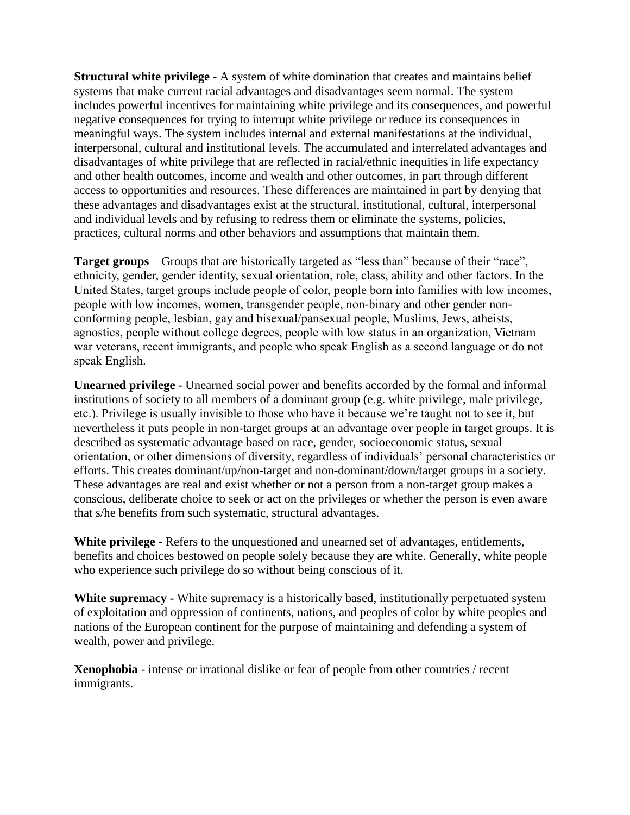**Structural white privilege -** A system of white domination that creates and maintains belief systems that make current racial advantages and disadvantages seem normal. The system includes powerful incentives for maintaining white privilege and its consequences, and powerful negative consequences for trying to interrupt white privilege or reduce its consequences in meaningful ways. The system includes internal and external manifestations at the individual, interpersonal, cultural and institutional levels. The accumulated and interrelated advantages and disadvantages of white privilege that are reflected in racial/ethnic inequities in life expectancy and other health outcomes, income and wealth and other outcomes, in part through different access to opportunities and resources. These differences are maintained in part by denying that these advantages and disadvantages exist at the structural, institutional, cultural, interpersonal and individual levels and by refusing to redress them or eliminate the systems, policies, practices, cultural norms and other behaviors and assumptions that maintain them.

**Target groups** – Groups that are historically targeted as "less than" because of their "race", ethnicity, gender, gender identity, sexual orientation, role, class, ability and other factors. In the United States, target groups include people of color, people born into families with low incomes, people with low incomes, women, transgender people, non-binary and other gender nonconforming people, lesbian, gay and bisexual/pansexual people, Muslims, Jews, atheists, agnostics, people without college degrees, people with low status in an organization, Vietnam war veterans, recent immigrants, and people who speak English as a second language or do not speak English.

**Unearned privilege -** Unearned social power and benefits accorded by the formal and informal institutions of society to all members of a dominant group (e.g. white privilege, male privilege, etc.). Privilege is usually invisible to those who have it because we're taught not to see it, but nevertheless it puts people in non-target groups at an advantage over people in target groups. It is described as systematic advantage based on race, gender, socioeconomic status, sexual orientation, or other dimensions of diversity, regardless of individuals' personal characteristics or efforts. This creates dominant/up/non-target and non-dominant/down/target groups in a society. These advantages are real and exist whether or not a person from a non-target group makes a conscious, deliberate choice to seek or act on the privileges or whether the person is even aware that s/he benefits from such systematic, structural advantages.

**White privilege -** Refers to the unquestioned and unearned set of advantages, entitlements, benefits and choices bestowed on people solely because they are white. Generally, white people who experience such privilege do so without being conscious of it.

**White supremacy -** White supremacy is a historically based, institutionally perpetuated system of exploitation and oppression of continents, nations, and peoples of color by white peoples and nations of the European continent for the purpose of maintaining and defending a system of wealth, power and privilege.

**Xenophobia** - intense or irrational dislike or fear of people from other countries / recent immigrants.